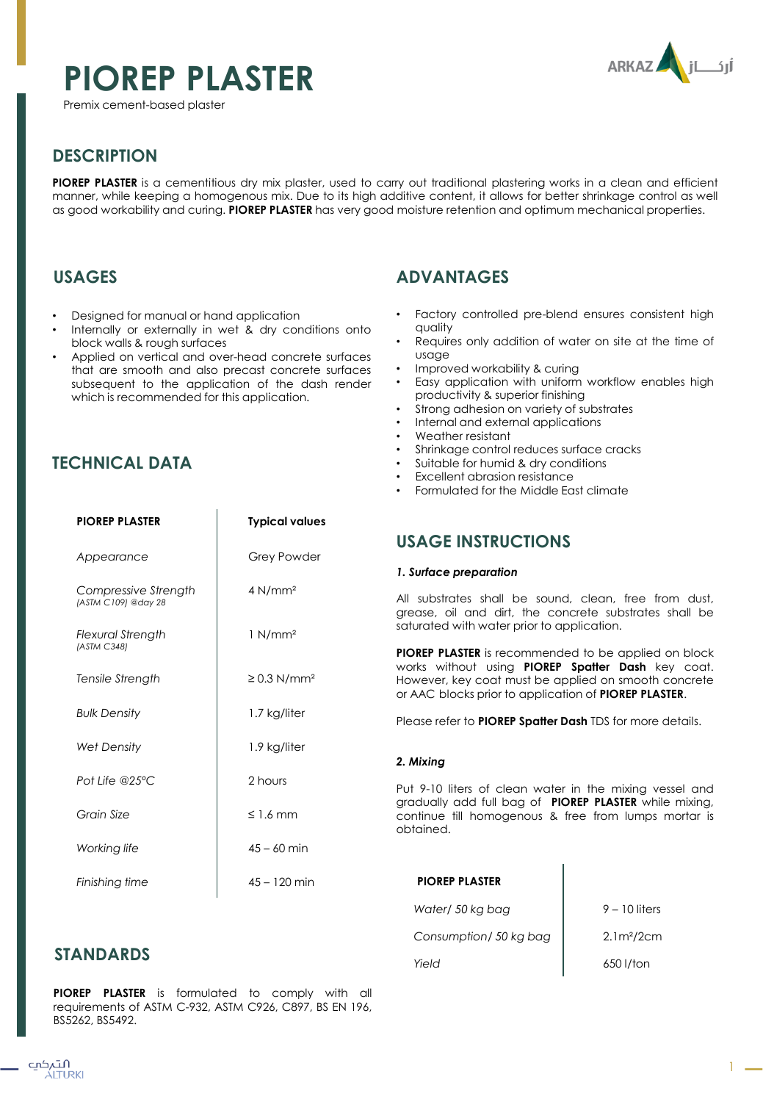# **PIOREP PLASTER**

Premix cement-based plaster



# **DESCRIPTION**

**PIOREP PLASTER** is a cementitious dry mix plaster, used to carry out traditional plastering works in a clean and efficient manner, while keeping a homogenous mix. Due to its high additive content, it allows for better shrinkage control as well as good workability and curing. **PIOREP PLASTER** has very good moisture retention and optimum mechanical properties.

# **USAGES**

- Designed for manual or hand application
- Internally or externally in wet & dry conditions onto block walls & rough surfaces
- Applied on vertical and over-head concrete surfaces that are smooth and also precast concrete surfaces subsequent to the application of the dash render which is recommended for this application.

# **TECHNICAL DATA**

| <b>PIOREP PLASTER</b>                       | <b>Typical values</b>        |                                                                                              |  |
|---------------------------------------------|------------------------------|----------------------------------------------------------------------------------------------|--|
|                                             |                              | <b>USAGE INSTR</b>                                                                           |  |
| Appearance                                  | Grey Powder                  | 1. Surface preparat                                                                          |  |
| Compressive Strength<br>(ASTM C109) @day 28 | 4 N/mm <sup>2</sup>          | All substrates shal<br>grease, oil and d                                                     |  |
| <b>Flexural Strength</b>                    | $1$ N/mm <sup>2</sup>        | saturated with wat                                                                           |  |
| (ASTM C348)<br>Tensile Strength             | $\geq$ 0.3 N/mm <sup>2</sup> | <b>PIOREP PLASTER is re</b><br>works without usi<br>However, key coat<br>or AAC blocks prior |  |
| <b>Bulk Density</b>                         | 1.7 kg/liter                 | Please refer to <b>PIOF</b>                                                                  |  |
| <b>Wet Density</b>                          | 1.9 kg/liter                 |                                                                                              |  |
| Pot Life @25°C                              | 2 hours                      | 2. Mixing<br>Put 9-10 liters of c<br>gradually add full<br>continue till homo<br>obtained.   |  |
| Grain Size                                  | $\leq 1.6$ mm                |                                                                                              |  |
| Working life                                | $45 - 60$ min                |                                                                                              |  |
| Finishing time                              | $45 - 120$ min               | <b>PIOREP PLASTER</b>                                                                        |  |
|                                             |                              | $141 - 1 - 1$ FO $1 - 1 - 1$                                                                 |  |

# **ADVANTAGES**

- Factory controlled pre-blend ensures consistent high quality
- Requires only addition of water on site at the time of usage
- Improved workability & curing
- Easy application with uniform workflow enables high productivity & superior finishing
- Strong adhesion on variety of substrates
- Internal and external applications
- Weather resistant
- Shrinkage control reduces surface cracks
- Suitable for humid & dry conditions
- Excellent abrasion resistance
- Formulated for the Middle East climate

## **USAGE INSTRUCTIONS**

### *1. Surface preparation*

All substrates shall be sound, clean, free from dust, grease, oil and dirt, the concrete substrates shall be saturated with water prior to application.

**PIOREP PLASTER** is recommended to be applied on block works without using **PIOREP Spatter Dash** key coat. However, key coat must be applied on smooth concrete or AAC blocks prior to application of **PIOREP PLASTER**.

Please refer to **PIOREP Spatter Dash** TDS for more details.

### *2. Mixing*

Put 9-10 liters of clean water in the mixing vessel and gradually add full bag of **PIOREP PLASTER** while mixing, continue till homogenous & free from lumps mortar is obtained.

|                  | Water/ 50 kg bag       | $9 - 10$ liters |
|------------------|------------------------|-----------------|
|                  | Consumption/ 50 kg bag | $2.1m^{2}/2cm$  |
| <b>STANDARDS</b> | Yield                  | 650 l/ton       |

**PIOREP PLASTER** is formulated to comply with all requirements of ASTM C-932, ASTM C926, C897, BS EN 196, BS5262, BS5492.